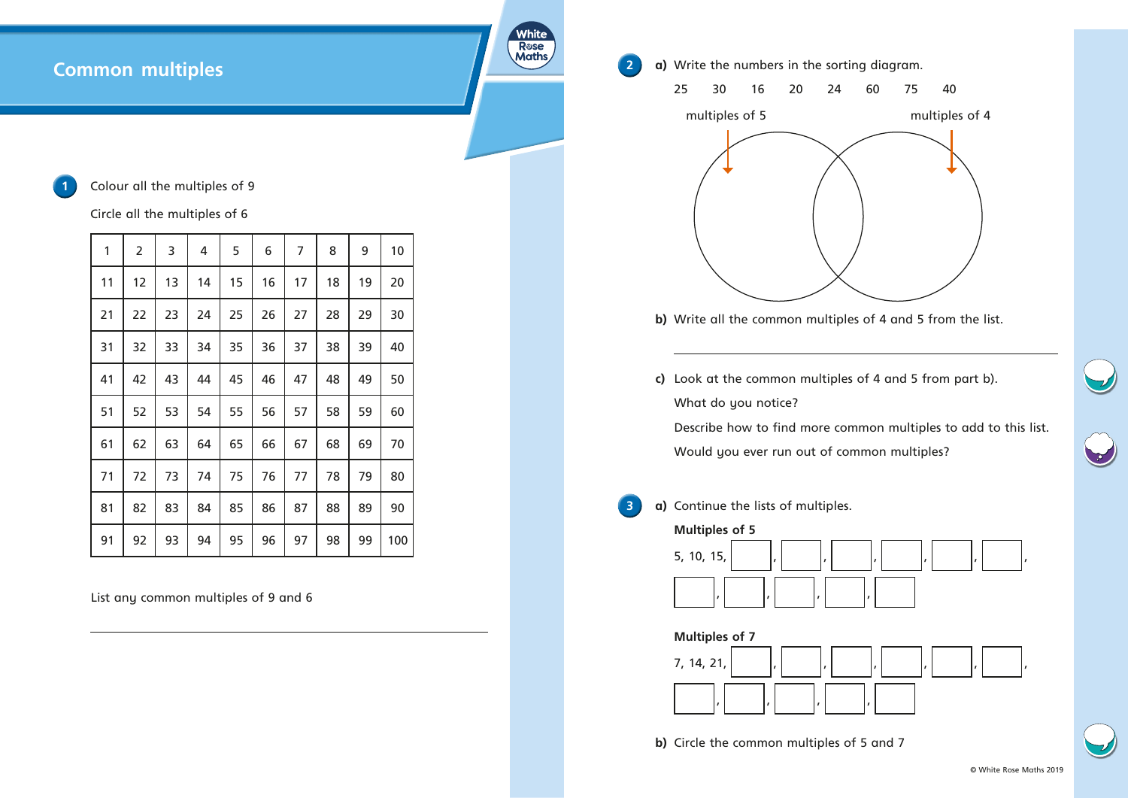## **Common multiples**

## Colour all the multiples of 9

Circle all the multiples of 6

| 1  | $\overline{2}$ | 3  | 4  | 5  | 6  | 7  | 8  | 9  | 10  |
|----|----------------|----|----|----|----|----|----|----|-----|
| 11 | 12             | 13 | 14 | 15 | 16 | 17 | 18 | 19 | 20  |
| 21 | 22             | 23 | 24 | 25 | 26 | 27 | 28 | 29 | 30  |
| 31 | 32             | 33 | 34 | 35 | 36 | 37 | 38 | 39 | 40  |
| 41 | 42             | 43 | 44 | 45 | 46 | 47 | 48 | 49 | 50  |
| 51 | 52             | 53 | 54 | 55 | 56 | 57 | 58 | 59 | 60  |
| 61 | 62             | 63 | 64 | 65 | 66 | 67 | 68 | 69 | 70  |
| 71 | 72             | 73 | 74 | 75 | 76 | 77 | 78 | 79 | 80  |
| 81 | 82             | 83 | 84 | 85 | 86 | 87 | 88 | 89 | 90  |
| 91 | 92             | 93 | 94 | 95 | 96 | 97 | 98 | 99 | 100 |

**2 a)** Write the numbers in the sorting diagram. 25 30 16 20 24 60 75 40

White Rose<br>Maths

List any common multiples of 9 and 6

- 
- **b)** Write all the common multiples of 4 and 5 from the list.
- **c)** Look at the common multiples of 4 and 5 from part b). What do you notice? Would you ever run out of common multiples?

Describe how to find more common multiples to add to this list.







**3 a)** Continue the lists of multiples.

**Multiples of 5**





**b)** Circle the common multiples of 5 and 7